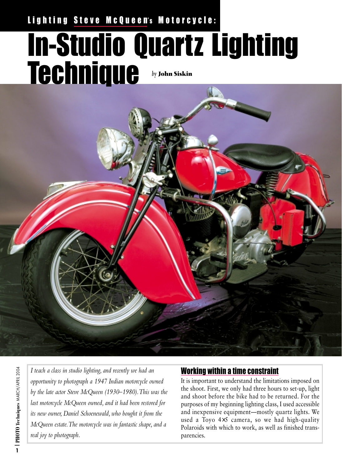## Lighting Steve McQueen's Motorcycle:

# In-Studio Quartz Lighting Technique *by* **John Siskin**

*I teach a class in studio lighting, and recently we had an opportunity to photograph a 1947 Indian motorcycle owned by the late actor Steve McQueen (1930–1980).This was the last motorcycle McQueen owned, and it had been restored for its new owner, Daniel Schoenewald, who bought it from the McQueen estate.The motorcycle was in fantastic shape, and a real joy to photograph.*

### Working within a time constraint

It is important to understand the limitations imposed on the shoot. First, we only had three hours to set-up, light and shoot before the bike had to be returned. For the purposes of my beginning lighting class, I used accessible and inexpensive equipment—mostly quartz lights. We used a Toyo 4×5 camera, so we had high-quality Polaroids with which to work, as well as finished transparencies.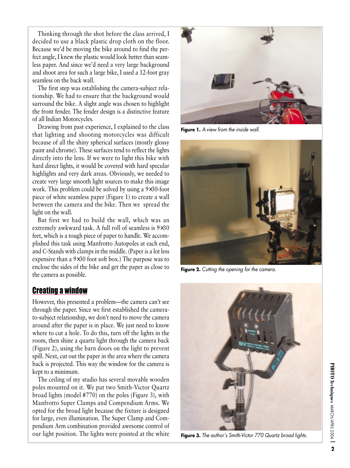Thinking through the shot before the class arrived, I decided to use a black plastic drop cloth on the floor. Because we'd be moving the bike around to find the perfect angle, I knew the plastic would look better than seamless paper. And since we'd need a very large background and shoot area for such a large bike, I used a 12-foot gray seamless on the back wall.

The first step was establishing the camera-subject relationship. We had to ensure that the background would surround the bike. A slight angle was chosen to highlight the front fender. The fender design is a distinctive feature of all Indian Motorcycles.

Drawing from past experience, I explained to the class that lighting and shooting motorcycles was difficult because of all the shiny spherical surfaces (mostly glossy paint and chrome). These surfaces tend to reflect the lights directly into the lens. If we were to light this bike with hard direct lights, it would be covered with hard specular highlights and very dark areas. Obviously, we needed to create very large smooth light sources to make this image work. This problem could be solved by using a 9×30-foot piece of white seamless paper (Figure 1) to create a wall between the camera and the bike. Then we spread the light on the wall.

But first we had to build the wall, which was an extremely awkward task. A full roll of seamless is 9×30 feet, which is a tough piece of paper to handle. We accomplished this task using Manfrotto Autopoles at each end, and C-Stands with clamps in the middle. (Paper is a lot less expensive than a 9×30 foot soft box.) The purpose was to enclose the sides of the bike and get the paper as close to the camera as possible.

#### Creating a window

However, this presented a problem—the camera can't see through the paper. Since we first established the camerato-subject relationship, we don't need to move the camera around after the paper is in place. We just need to know where to cut a hole. To do this, turn off the lights in the room, then shine a quartz light through the camera back (Figure 2), using the barn doors on the light to prevent spill. Next, cut out the paper in the area where the camera back is projected. This way the window for the camera is kept to a minimum.

The ceiling of my studio has several movable wooden poles mounted on it. We put two Smith-Victor Quartz broad lights (model #770) on the poles (Figure 3), with Manfrotto Super Clamps and Compendium Arms. We opted for the broad light because the fixture is designed for large, even illumination. The Super Clamp and Compendium Arm combination provided awesome control of our light position. The lights were pointed at the white



**Figure 1.** *A view from the inside wall.*



**Figure 2.** *Cutting the opening for the camera.*



**Figure 3.** *The author's Smith-Victor 770 Quartz broad lights.*